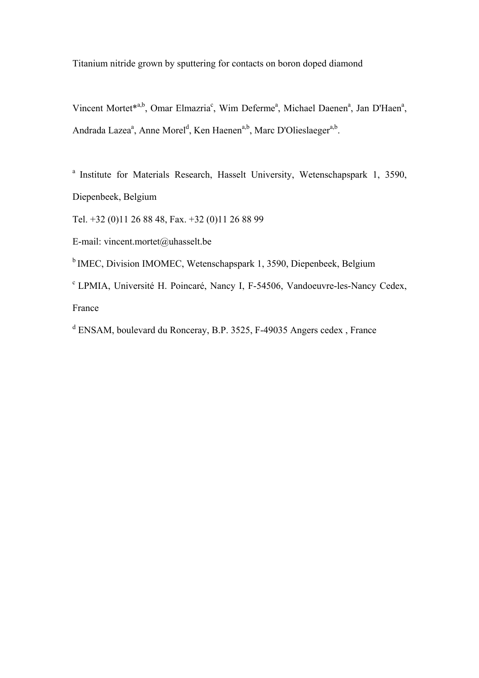Titanium nitride grown by sputtering for contacts on boron doped diamond

Vincent Mortet\*<sup>a,b</sup>, Omar Elmazria<sup>c</sup>, Wim Deferme<sup>a</sup>, Michael Daenen<sup>a</sup>, Jan D'Haen<sup>a</sup>, Andrada Lazea<sup>a</sup>, Anne Morel<sup>d</sup>, Ken Haenen<sup>a,b</sup>, Marc D'Olieslaeger<sup>a,b</sup>.

<sup>a</sup> Institute for Materials Research, Hasselt University, Wetenschapspark 1, 3590, Diepenbeek, Belgium

Tel. +32 (0)11 26 88 48, Fax. +32 (0)11 26 88 99

E-mail: vincent.mortet@uhasselt.be

b IMEC, Division IMOMEC, Wetenschapspark 1, 3590, Diepenbeek, Belgium

c LPMIA, Université H. Poincaré, Nancy I, F-54506, Vandoeuvre-les-Nancy Cedex, France

<sup>d</sup> ENSAM, boulevard du Ronceray, B.P. 3525, F-49035 Angers cedex, France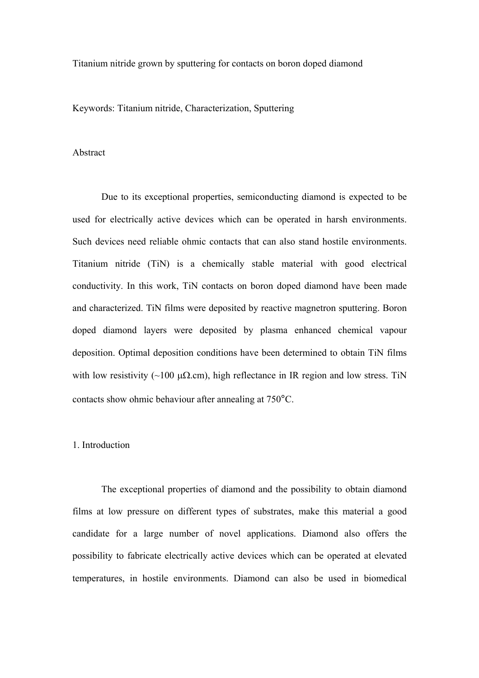Titanium nitride grown by sputtering for contacts on boron doped diamond

Keywords: Titanium nitride, Characterization, Sputtering

#### Abstract

Due to its exceptional properties, semiconducting diamond is expected to be used for electrically active devices which can be operated in harsh environments. Such devices need reliable ohmic contacts that can also stand hostile environments. Titanium nitride (TiN) is a chemically stable material with good electrical conductivity. In this work, TiN contacts on boron doped diamond have been made and characterized. TiN films were deposited by reactive magnetron sputtering. Boron doped diamond layers were deposited by plasma enhanced chemical vapour deposition. Optimal deposition conditions have been determined to obtain TiN films with low resistivity (~100  $\mu\Omega$ .cm), high reflectance in IR region and low stress. TiN contacts show ohmic behaviour after annealing at 750°C.

# 1. Introduction

The exceptional properties of diamond and the possibility to obtain diamond films at low pressure on different types of substrates, make this material a good candidate for a large number of novel applications. Diamond also offers the possibility to fabricate electrically active devices which can be operated at elevated temperatures, in hostile environments. Diamond can also be used in biomedical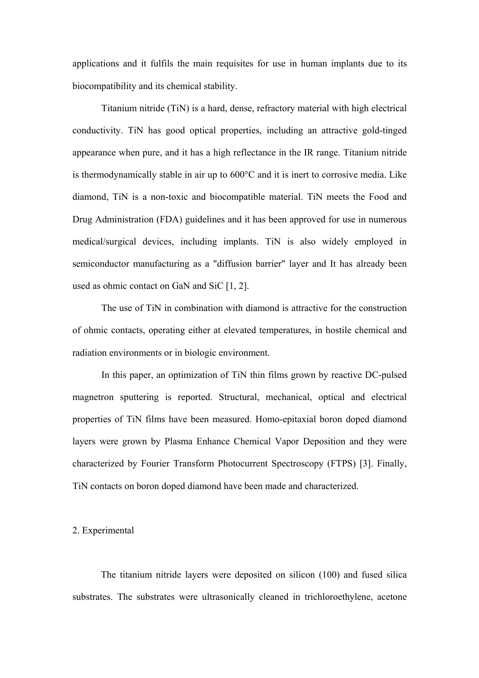applications and it fulfils the main requisites for use in human implants due to its biocompatibility and its chemical stability.

Titanium nitride (TiN) is a hard, dense, refractory material with high electrical conductivity. TiN has good optical properties, including an attractive gold-tinged appearance when pure, and it has a high reflectance in the IR range. Titanium nitride is thermodynamically stable in air up to 600°C and it is inert to corrosive media. Like diamond, TiN is a non-toxic and biocompatible material. TiN meets the Food and Drug Administration (FDA) guidelines and it has been approved for use in numerous medical/surgical devices, including implants. TiN is also widely employed in semiconductor manufacturing as a "diffusion barrier" layer and It has already been used as ohmic contact on GaN and SiC [1, 2].

The use of TiN in combination with diamond is attractive for the construction of ohmic contacts, operating either at elevated temperatures, in hostile chemical and radiation environments or in biologic environment.

In this paper, an optimization of TiN thin films grown by reactive DC-pulsed magnetron sputtering is reported. Structural, mechanical, optical and electrical properties of TiN films have been measured. Homo-epitaxial boron doped diamond layers were grown by Plasma Enhance Chemical Vapor Deposition and they were characterized by Fourier Transform Photocurrent Spectroscopy (FTPS) [3]. Finally, TiN contacts on boron doped diamond have been made and characterized.

### 2. Experimental

The titanium nitride layers were deposited on silicon (100) and fused silica substrates. The substrates were ultrasonically cleaned in trichloroethylene, acetone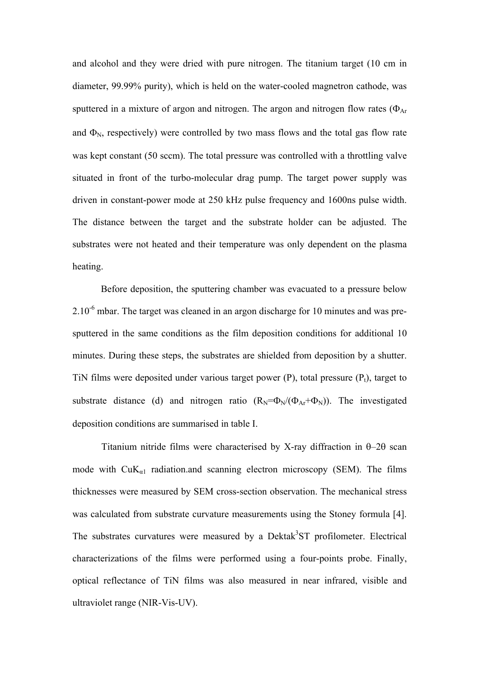and alcohol and they were dried with pure nitrogen. The titanium target (10 cm in diameter, 99.99% purity), which is held on the water-cooled magnetron cathode, was sputtered in a mixture of argon and nitrogen. The argon and nitrogen flow rates ( $\Phi_{Ar}$ and  $\Phi_N$ , respectively) were controlled by two mass flows and the total gas flow rate was kept constant (50 sccm). The total pressure was controlled with a throttling valve situated in front of the turbo-molecular drag pump. The target power supply was driven in constant-power mode at 250 kHz pulse frequency and 1600ns pulse width. The distance between the target and the substrate holder can be adjusted. The substrates were not heated and their temperature was only dependent on the plasma heating.

Before deposition, the sputtering chamber was evacuated to a pressure below  $2.10^{-6}$  mbar. The target was cleaned in an argon discharge for 10 minutes and was presputtered in the same conditions as the film deposition conditions for additional 10 minutes. During these steps, the substrates are shielded from deposition by a shutter. TiN films were deposited under various target power  $(P)$ , total pressure  $(P_t)$ , target to substrate distance (d) and nitrogen ratio  $(R_N = \Phi_N/(\Phi_{Ar} + \Phi_N))$ . The investigated deposition conditions are summarised in table I.

Titanium nitride films were characterised by X-ray diffraction in  $\theta$ -2 $\theta$  scan mode with  $CuK<sub>α1</sub>$  radiation.and scanning electron microscopy (SEM). The films thicknesses were measured by SEM cross-section observation. The mechanical stress was calculated from substrate curvature measurements using the Stoney formula [4]. The substrates curvatures were measured by a Dekta $k<sup>3</sup>ST$  profilometer. Electrical characterizations of the films were performed using a four-points probe. Finally, optical reflectance of TiN films was also measured in near infrared, visible and ultraviolet range (NIR-Vis-UV).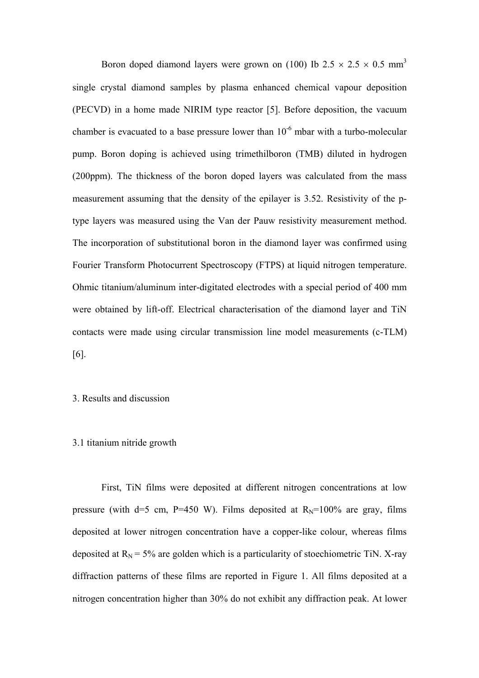Boron doped diamond layers were grown on (100) Ib  $2.5 \times 2.5 \times 0.5$  mm<sup>3</sup> single crystal diamond samples by plasma enhanced chemical vapour deposition (PECVD) in a home made NIRIM type reactor [5]. Before deposition, the vacuum chamber is evacuated to a base pressure lower than  $10^{-6}$  mbar with a turbo-molecular pump. Boron doping is achieved using trimethilboron (TMB) diluted in hydrogen (200ppm). The thickness of the boron doped layers was calculated from the mass measurement assuming that the density of the epilayer is 3.52. Resistivity of the ptype layers was measured using the Van der Pauw resistivity measurement method. The incorporation of substitutional boron in the diamond layer was confirmed using Fourier Transform Photocurrent Spectroscopy (FTPS) at liquid nitrogen temperature. Ohmic titanium/aluminum inter-digitated electrodes with a special period of 400 mm were obtained by lift-off. Electrical characterisation of the diamond layer and TiN contacts were made using circular transmission line model measurements (c-TLM) [6].

## 3. Results and discussion

## 3.1 titanium nitride growth

 First, TiN films were deposited at different nitrogen concentrations at low pressure (with d=5 cm, P=450 W). Films deposited at  $R_N$ =100% are gray, films deposited at lower nitrogen concentration have a copper-like colour, whereas films deposited at  $R_N = 5\%$  are golden which is a particularity of stoechiometric TiN. X-ray diffraction patterns of these films are reported in Figure 1. All films deposited at a nitrogen concentration higher than 30% do not exhibit any diffraction peak. At lower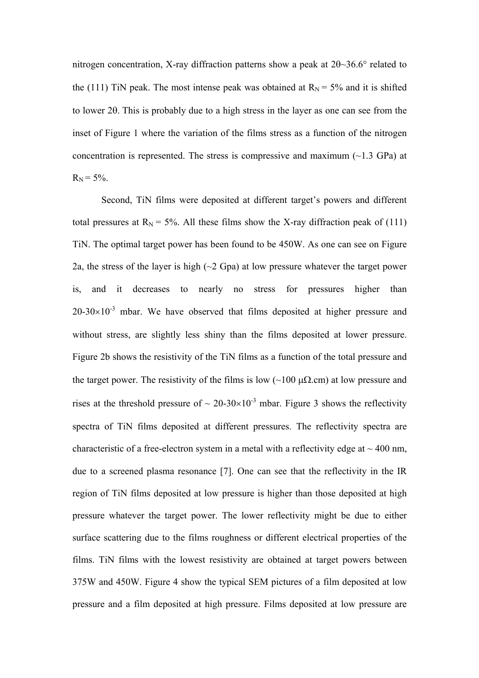nitrogen concentration, X-ray diffraction patterns show a peak at 2θ~36.6° related to the (111) TiN peak. The most intense peak was obtained at  $R_N = 5\%$  and it is shifted to lower 2θ. This is probably due to a high stress in the layer as one can see from the inset of Figure 1 where the variation of the films stress as a function of the nitrogen concentration is represented. The stress is compressive and maximum  $(\sim 1.3 \text{ GPa})$  at  $R_N = 5\%$ .

Second, TiN films were deposited at different target's powers and different total pressures at  $R_N = 5\%$ . All these films show the X-ray diffraction peak of (111) TiN. The optimal target power has been found to be 450W. As one can see on Figure 2a, the stress of the layer is high  $(\sim 2 \text{ Gpa})$  at low pressure whatever the target power is, and it decreases to nearly no stress for pressures higher than  $20-30\times10^{-3}$  mbar. We have observed that films deposited at higher pressure and without stress, are slightly less shiny than the films deposited at lower pressure. Figure 2b shows the resistivity of the TiN films as a function of the total pressure and the target power. The resistivity of the films is low (~100  $\mu\Omega$ .cm) at low pressure and rises at the threshold pressure of  $\sim 20{\text -}30\times10^{-3}$  mbar. Figure 3 shows the reflectivity spectra of TiN films deposited at different pressures. The reflectivity spectra are characteristic of a free-electron system in a metal with a reflectivity edge at  $\sim$  400 nm, due to a screened plasma resonance [7]. One can see that the reflectivity in the IR region of TiN films deposited at low pressure is higher than those deposited at high pressure whatever the target power. The lower reflectivity might be due to either surface scattering due to the films roughness or different electrical properties of the films. TiN films with the lowest resistivity are obtained at target powers between 375W and 450W. Figure 4 show the typical SEM pictures of a film deposited at low pressure and a film deposited at high pressure. Films deposited at low pressure are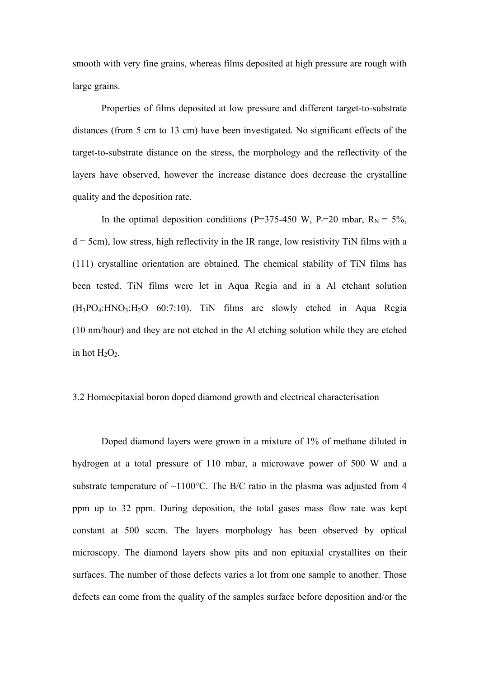smooth with very fine grains, whereas films deposited at high pressure are rough with large grains.

Properties of films deposited at low pressure and different target-to-substrate distances (from 5 cm to 13 cm) have been investigated. No significant effects of the target-to-substrate distance on the stress, the morphology and the reflectivity of the layers have observed, however the increase distance does decrease the crystalline quality and the deposition rate.

In the optimal deposition conditions (P=375-450 W, P<sub>t</sub>=20 mbar, R<sub>N</sub> = 5%,  $d = 5$ cm), low stress, high reflectivity in the IR range, low resistivity TiN films with a (111) crystalline orientation are obtained. The chemical stability of TiN films has been tested. TiN films were let in Aqua Regia and in a Al etchant solution (H3PO4:HNO3:H2O 60:7:10). TiN films are slowly etched in Aqua Regia (10 nm/hour) and they are not etched in the Al etching solution while they are etched in hot  $H_2O_2$ .

### 3.2 Homoepitaxial boron doped diamond growth and electrical characterisation

Doped diamond layers were grown in a mixture of 1% of methane diluted in hydrogen at a total pressure of 110 mbar, a microwave power of 500 W and a substrate temperature of  $\sim$ 1100°C. The B/C ratio in the plasma was adjusted from 4 ppm up to 32 ppm. During deposition, the total gases mass flow rate was kept constant at 500 sccm. The layers morphology has been observed by optical microscopy. The diamond layers show pits and non epitaxial crystallites on their surfaces. The number of those defects varies a lot from one sample to another. Those defects can come from the quality of the samples surface before deposition and/or the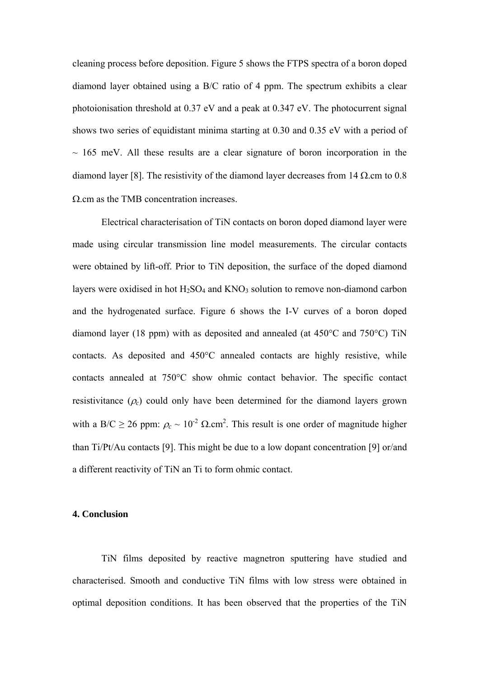cleaning process before deposition. Figure 5 shows the FTPS spectra of a boron doped diamond layer obtained using a B/C ratio of 4 ppm. The spectrum exhibits a clear photoionisation threshold at 0.37 eV and a peak at 0.347 eV. The photocurrent signal shows two series of equidistant minima starting at 0.30 and 0.35 eV with a period of  $\sim$  165 meV. All these results are a clear signature of boron incorporation in the diamond layer [8]. The resistivity of the diamond layer decreases from 14  $\Omega$  cm to 0.8 Ω.cm as the TMB concentration increases.

Electrical characterisation of TiN contacts on boron doped diamond layer were made using circular transmission line model measurements. The circular contacts were obtained by lift-off. Prior to TiN deposition, the surface of the doped diamond layers were oxidised in hot  $H_2SO_4$  and  $KNO_3$  solution to remove non-diamond carbon and the hydrogenated surface. Figure 6 shows the I-V curves of a boron doped diamond layer (18 ppm) with as deposited and annealed (at 450°C and 750°C) TiN contacts. As deposited and 450°C annealed contacts are highly resistive, while contacts annealed at 750°C show ohmic contact behavior. The specific contact resistivitance  $(\rho_c)$  could only have been determined for the diamond layers grown with a B/C  $\geq$  26 ppm:  $\rho_c \sim 10^{-2} \Omega.cm^2$ . This result is one order of magnitude higher than Ti/Pt/Au contacts [9]. This might be due to a low dopant concentration [9] or/and a different reactivity of TiN an Ti to form ohmic contact.

## **4. Conclusion**

TiN films deposited by reactive magnetron sputtering have studied and characterised. Smooth and conductive TiN films with low stress were obtained in optimal deposition conditions. It has been observed that the properties of the TiN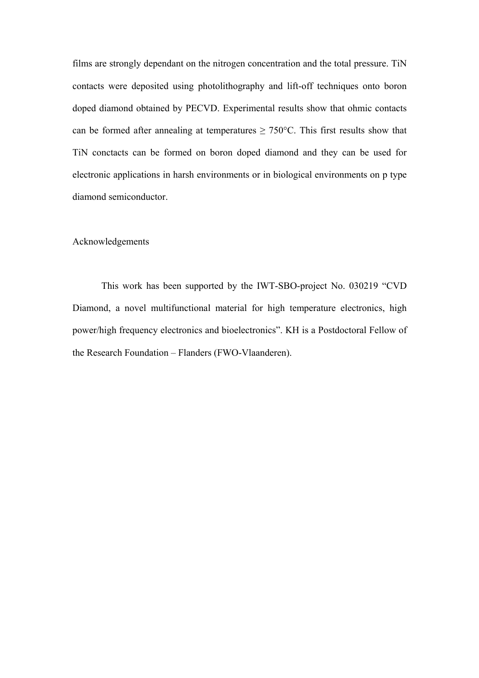films are strongly dependant on the nitrogen concentration and the total pressure. TiN contacts were deposited using photolithography and lift-off techniques onto boron doped diamond obtained by PECVD. Experimental results show that ohmic contacts can be formed after annealing at temperatures  $\geq 750^{\circ}$ C. This first results show that TiN conctacts can be formed on boron doped diamond and they can be used for electronic applications in harsh environments or in biological environments on p type diamond semiconductor.

#### Acknowledgements

This work has been supported by the IWT-SBO-project No. 030219 "CVD Diamond, a novel multifunctional material for high temperature electronics, high power/high frequency electronics and bioelectronics". KH is a Postdoctoral Fellow of the Research Foundation – Flanders (FWO-Vlaanderen).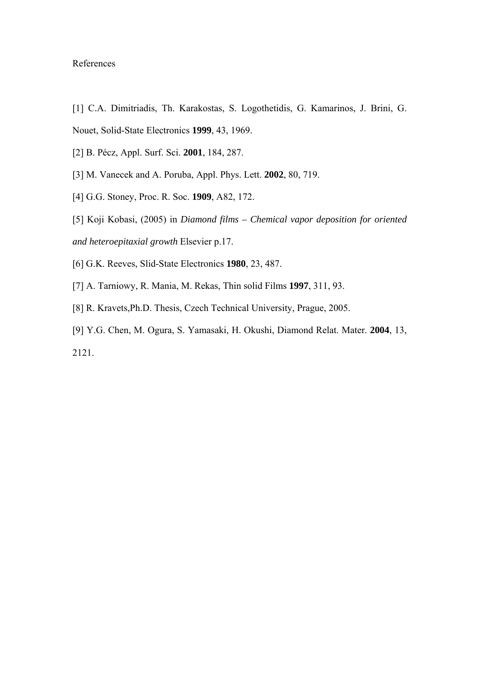# References

- [1] C.A. Dimitriadis, Th. Karakostas, S. Logothetidis, G. Kamarinos, J. Brini, G. Nouet, Solid-State Electronics **1999**, 43, 1969.
- [2] B. Pécz, Appl. Surf. Sci. **2001**, 184, 287.
- [3] M. Vanecek and A. Poruba, Appl. Phys. Lett. **2002**, 80, 719.
- [4] G.G. Stoney, Proc. R. Soc. **1909**, A82, 172.
- [5] Koji Kobasi, (2005) in *Diamond films Chemical vapor deposition for oriented and heteroepitaxial growth* Elsevier p.17.
- [6] G.K. Reeves, Slid-State Electronics **1980**, 23, 487.
- [7] A. Tarniowy, R. Mania, M. Rekas, Thin solid Films **1997**, 311, 93.
- [8] R. Kravets,Ph.D. Thesis, Czech Technical University, Prague, 2005.
- [9] Y.G. Chen, M. Ogura, S. Yamasaki, H. Okushi, Diamond Relat. Mater. **2004**, 13, 2121.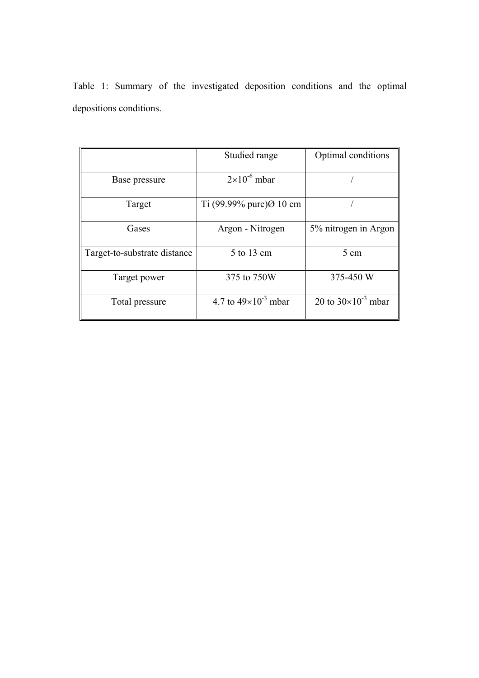Table 1: Summary of the investigated deposition conditions and the optimal depositions conditions.

|                              | Studied range                        | Optimal conditions           |
|------------------------------|--------------------------------------|------------------------------|
| Base pressure                | $2\times10^{-6}$ mbar                |                              |
| Target                       | Ti (99.99% pure) $\varnothing$ 10 cm |                              |
| Gases                        | Argon - Nitrogen                     | 5% nitrogen in Argon         |
| Target-to-substrate distance | 5 to 13 cm                           | 5 cm                         |
| Target power                 | 375 to 750W                          | 375-450 W                    |
| Total pressure               | 4.7 to $49\times10^{-3}$ mbar        | 20 to $30\times10^{-3}$ mbar |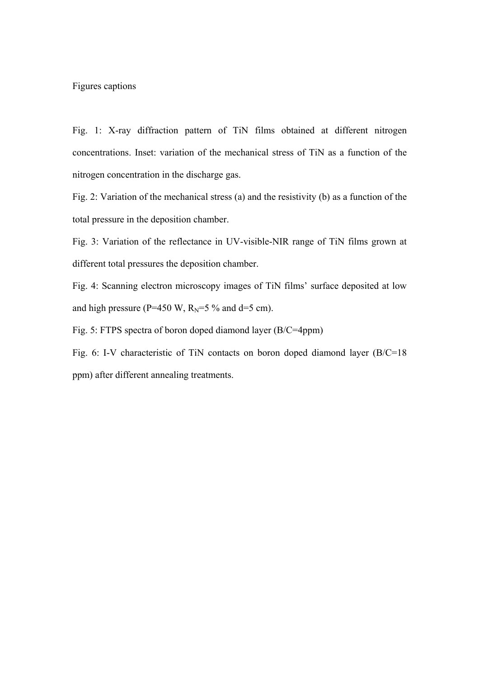Figures captions

Fig. 1: X-ray diffraction pattern of TiN films obtained at different nitrogen concentrations. Inset: variation of the mechanical stress of TiN as a function of the nitrogen concentration in the discharge gas.

Fig. 2: Variation of the mechanical stress (a) and the resistivity (b) as a function of the total pressure in the deposition chamber.

Fig. 3: Variation of the reflectance in UV-visible-NIR range of TiN films grown at different total pressures the deposition chamber.

Fig. 4: Scanning electron microscopy images of TiN films' surface deposited at low and high pressure (P=450 W,  $R_N$ =5 % and d=5 cm).

Fig. 5: FTPS spectra of boron doped diamond layer (B/C=4ppm)

Fig. 6: I-V characteristic of TiN contacts on boron doped diamond layer (B/C=18 ppm) after different annealing treatments.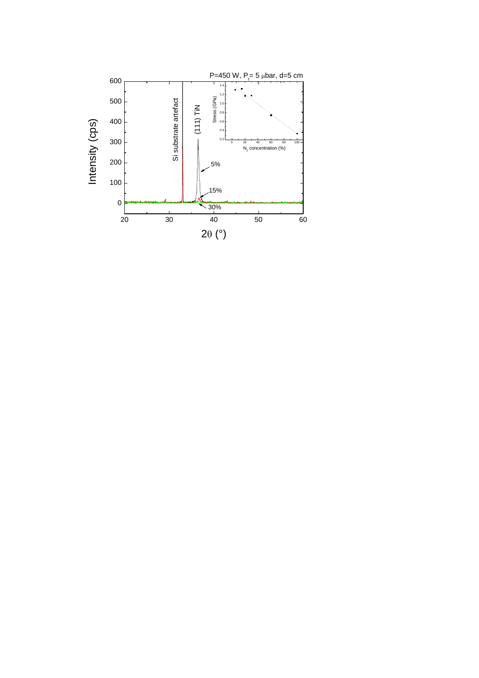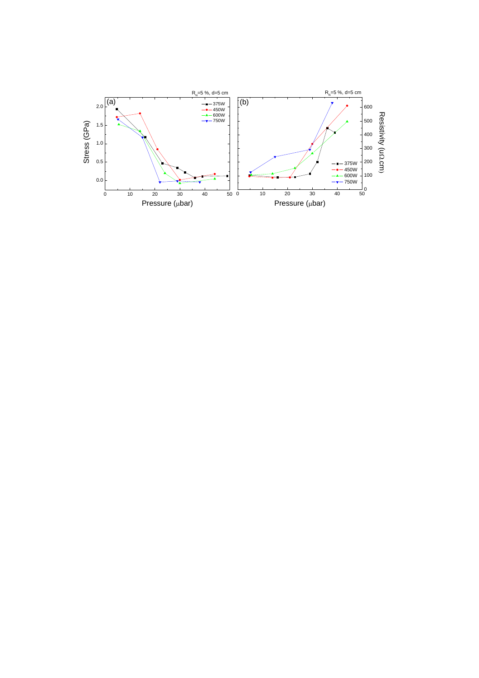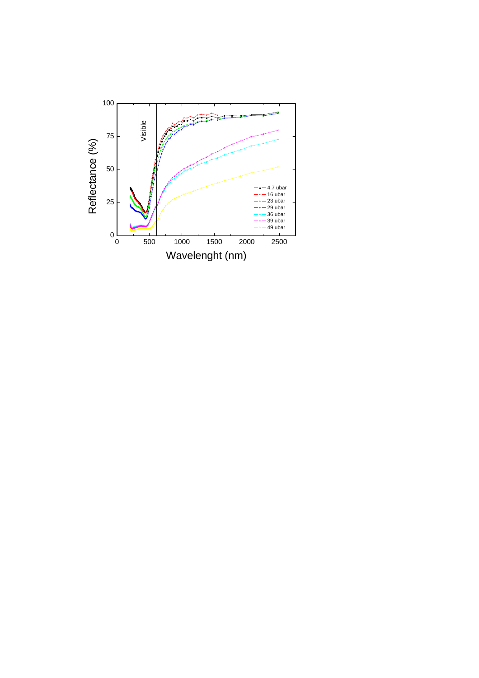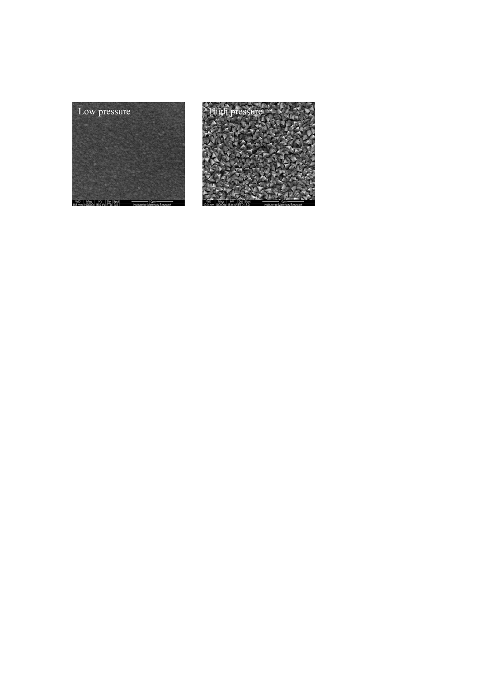

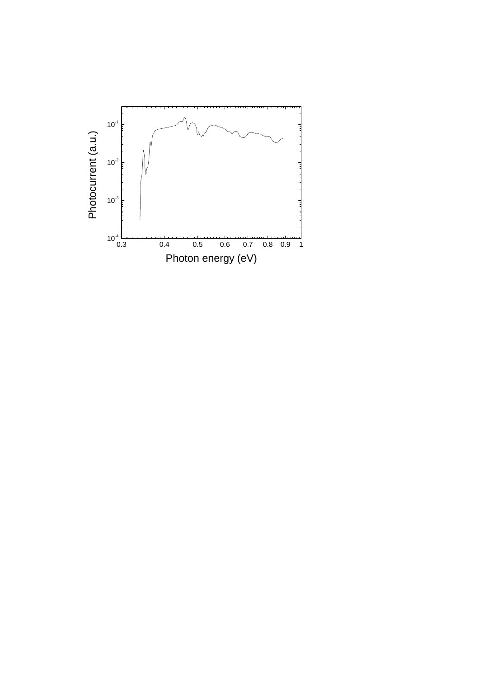